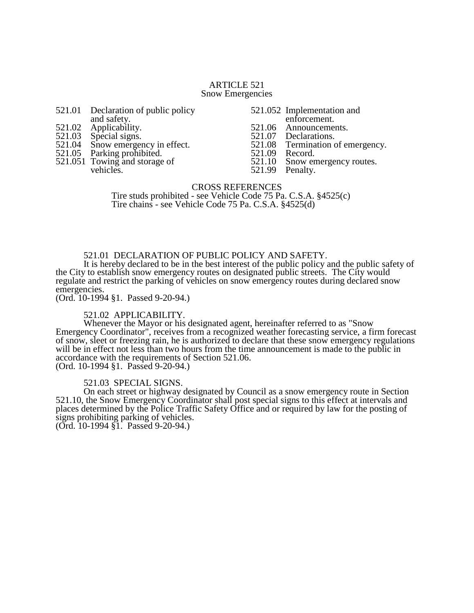### ARTICLE 521 Snow Emergencies

- 521.01 Declaration of public policy and safety.
- 
- 521.02 Applicability.<br>521.03 Special signs.
- 521.03 Special signs.<br>521.04 Snow emerger 521.04 Snow emergency in effect.<br>521.05 Parking prohibited.
- Parking prohibited.
- 521.051 Towing and storage of vehicles.
- 521.052 Implementation and enforcement.
- 521.06 Announcements.<br>521.07 Declarations.
- 521.07 Declarations.<br>521.08 Termination of
	- Termination of emergency.<br>Record.
- 521.09<br>521.10
- 521.10 Snow emergency routes.<br>521.99 Penalty.
- Penalty.

# CROSS REFERENCES Tire studs prohibited - see Vehicle Code 75 Pa. C.S.A. §4525(c)

Tire chains - see Vehicle Code 75 Pa. C.S.A. §4525(d)

## 521.01 DECLARATION OF PUBLIC POLICY AND SAFETY.

It is hereby declared to be in the best interest of the public policy and the public safety of the City to establish snow emergency routes on designated public streets. The City would regulate and restrict the parking of vehicles on snow emergency routes during declared snow emergencies.

(Ord. 10-1994 §1. Passed 9-20-94.)

## 521.02 APPLICABILITY.

Whenever the Mayor or his designated agent, hereinafter referred to as "Snow Emergency Coordinator", receives from a recognized weather forecasting service, a firm forecast of snow, sleet or freezing rain, he is authorized to declare that these snow emergency regulations will be in effect not less than two hours from the time announcement is made to the public in accordance with the requirements of Section 521.06. (Ord. 10-1994 §1. Passed 9-20-94.)

## 521.03 SPECIAL SIGNS.

On each street or highway designated by Council as a snow emergency route in Section 521.10, the Snow Emergency Coordinator shall post special signs to this effect at intervals and places determined by the Police Traffic Safety Office and or required by law for the posting of signs prohibiting parking of vehicles.

(Ord. 10-1994 §1. Passed 9-20-94.)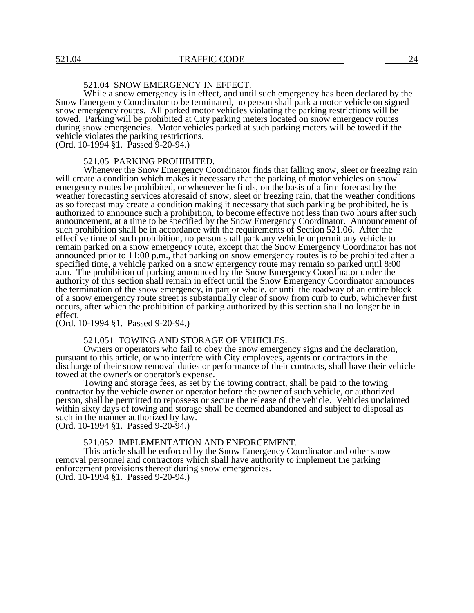# 521.04 SNOW EMERGENCY IN EFFECT.

While a snow emergency is in effect, and until such emergency has been declared by the Snow Emergency Coordinator to be terminated, no person shall park a motor vehicle on signed snow emergency routes. All parked motor vehicles violating the parking restrictions will be towed. Parking will be prohibited at City parking meters located on snow emergency routes during snow emergencies. Motor vehicles parked at such parking meters will be towed if the vehicle violates the parking restrictions.

(Ord. 10-1994 §1. Passed 9-20-94.)

### 521.05 PARKING PROHIBITED.

Whenever the Snow Emergency Coordinator finds that falling snow, sleet or freezing rain will create a condition which makes it necessary that the parking of motor vehicles on snow emergency routes be prohibited, or whenever he finds, on the basis of a firm forecast by the weather forecasting services aforesaid of snow, sleet or freezing rain, that the weather conditions as so forecast may create a condition making it necessary that such parking be prohibited, he is authorized to announce such a prohibition, to become effective not less than two hours after such announcement, at a time to be specified by the Snow Emergency Coordinator. Announcement of such prohibition shall be in accordance with the requirements of Section 521.06. After the effective time of such prohibition, no person shall park any vehicle or permit any vehicle to remain parked on a snow emergency route, except that the Snow Emergency Coordinator has not announced prior to 11:00 p.m., that parking on snow emergency routes is to be prohibited after a specified time, a vehicle parked on a snow emergency route may remain so parked until 8:00 a.m. The prohibition of parking announced by the Snow Emergency Coordinator under the authority of this section shall remain in effect until the Snow Emergency Coordinator announces the termination of the snow emergency, in part or whole, or until the roadway of an entire block of a snow emergency route street is substantially clear of snow from curb to curb, whichever first occurs, after which the prohibition of parking authorized by this section shall no longer be in effect.

(Ord. 10-1994 §1. Passed 9-20-94.)

### 521.051 TOWING AND STORAGE OF VEHICLES.

Owners or operators who fail to obey the snow emergency signs and the declaration, pursuant to this article, or who interfere with City employees, agents or contractors in the discharge of their snow removal duties or performance of their contracts, shall have their vehicle towed at the owner's or operator's expense.

Towing and storage fees, as set by the towing contract, shall be paid to the towing contractor by the vehicle owner or operator before the owner of such vehicle, or authorized person, shall be permitted to repossess or secure the release of the vehicle. Vehicles unclaimed within sixty days of towing and storage shall be deemed abandoned and subject to disposal as such in the manner authorized by law.

(Ord. 10-1994 §1. Passed 9-20-94.)

#### 521.052 IMPLEMENTATION AND ENFORCEMENT.

This article shall be enforced by the Snow Emergency Coordinator and other snow removal personnel and contractors which shall have authority to implement the parking enforcement provisions thereof during snow emergencies. (Ord. 10-1994 §1. Passed 9-20-94.)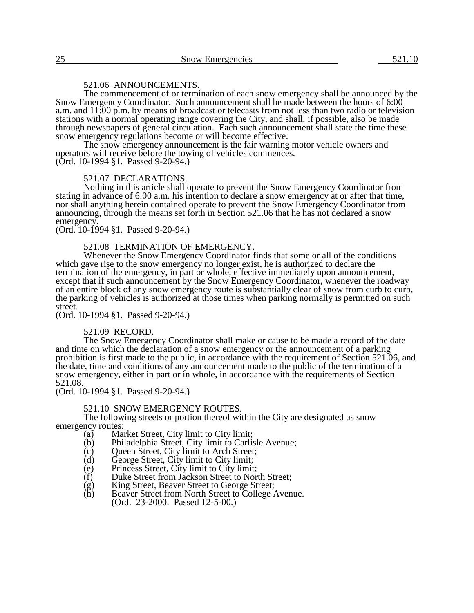## 521.06 ANNOUNCEMENTS.

The commencement of or termination of each snow emergency shall be announced by the Snow Emergency Coordinator. Such announcement shall be made between the hours of 6:00 a.m. and 11:00 p.m. by means of broadcast or telecasts from not less than two radio or television stations with a normal operating range covering the City, and shall, if possible, also be made through newspapers of general circulation. Each such announcement shall state the time these snow emergency regulations become or will become effective.

The snow emergency announcement is the fair warning motor vehicle owners and operators will receive before the towing of vehicles commences.

(Ord. 10-1994 §1. Passed 9-20-94.)

### 521.07 DECLARATIONS.

Nothing in this article shall operate to prevent the Snow Emergency Coordinator from stating in advance of 6:00 a.m. his intention to declare a snow emergency at or after that time, nor shall anything herein contained operate to prevent the Snow Emergency Coordinator from announcing, through the means set forth in Section 521.06 that he has not declared a snow emergency.

(Ord. 10-1994 §1. Passed 9-20-94.)

## 521.08 TERMINATION OF EMERGENCY.

Whenever the Snow Emergency Coordinator finds that some or all of the conditions which gave rise to the snow emergency no longer exist, he is authorized to declare the termination of the emergency, in part or whole, effective immediately upon announcement, except that if such announcement by the Snow Emergency Coordinator, whenever the roadway of an entire block of any snow emergency route is substantially clear of snow from curb to curb, the parking of vehicles is authorized at those times when parking normally is permitted on such street.

(Ord. 10-1994 §1. Passed 9-20-94.)

#### 521.09 RECORD.

The Snow Emergency Coordinator shall make or cause to be made a record of the date and time on which the declaration of a snow emergency or the announcement of a parking prohibition is first made to the public, in accordance with the requirement of Section 521.06, and the date, time and conditions of any announcement made to the public of the termination of a snow emergency, either in part or in whole, in accordance with the requirements of Section 521.08.

(Ord. 10-1994 §1. Passed 9-20-94.)

## 521.10 SNOW EMERGENCY ROUTES.

The following streets or portion thereof within the City are designated as snow emergency routes:<br>(a) Mai

- (a) Market Street, City limit to City limit;<br>(b) Philadelphia Street, City limit to Carlis
- (b) Philadelphia Street, City limit to Carlisle Avenue;<br>
(c) Queen Street, City limit to Arch Street;<br>
(d) George Street, City limit to City limit;
- Queen Street, City limit to Arch Street;
- 
- (d) George Street, City limit to City limit;
- (e) Princess Street, City limit to City limit;
- King Street, Beaver Street to George Street;
- (f) Duke Street from Jackson Street to North Street;<br>
(g) King Street, Beaver Street to George Street;<br>
(h) Beaver Street from North Street to College Aven Beaver Street from North Street to College Avenue. (Ord. 23-2000. Passed 12-5-00.)